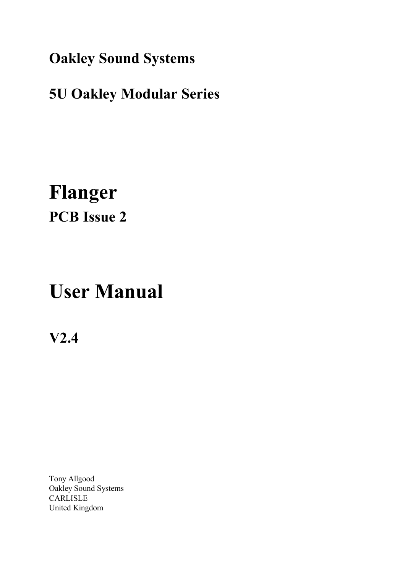**Oakley Sound Systems**

## **5U Oakley Modular Series**

## **Flanger PCB Issue 2**

# **User Manual**

**V2.4**

Tony Allgood Oakley Sound Systems CARLISLE United Kingdom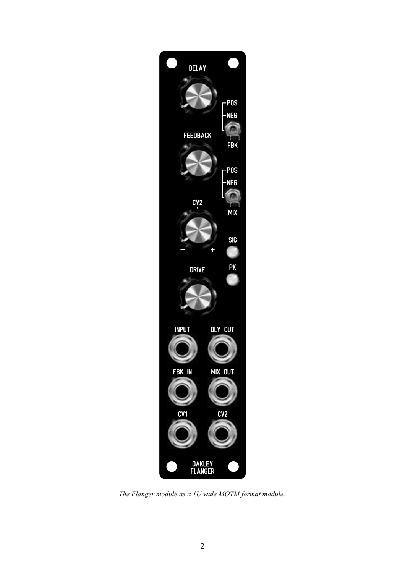

*The Flanger module as a 1U wide MOTM format module.*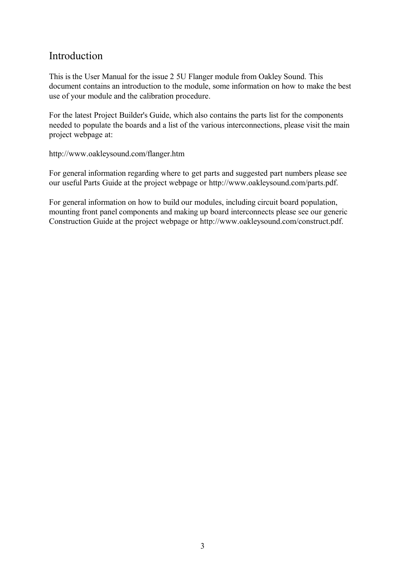#### Introduction

This is the User Manual for the issue 2 5U Flanger module from Oakley Sound. This document contains an introduction to the module, some information on how to make the best use of your module and the calibration procedure.

For the latest Project Builder's Guide, which also contains the parts list for the components needed to populate the boards and a list of the various interconnections, please visit the main project webpage at:

#### http://www.oakleysound.com/flanger.htm

For general information regarding where to get parts and suggested part numbers please see our useful Parts Guide at the project webpage or http://www.oakleysound.com/parts.pdf.

For general information on how to build our modules, including circuit board population, mounting front panel components and making up board interconnects please see our generic Construction Guide at the project webpage or http://www.oakleysound.com/construct.pdf.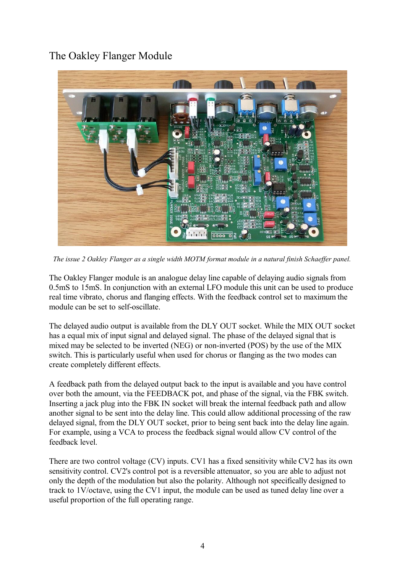## The Oakley Flanger Module



*The issue 2 Oakley Flanger as a single width MOTM format module in a natural finish Schaeffer panel.*

The Oakley Flanger module is an analogue delay line capable of delaying audio signals from 0.5mS to 15mS. In conjunction with an external LFO module this unit can be used to produce real time vibrato, chorus and flanging effects. With the feedback control set to maximum the module can be set to self-oscillate.

The delayed audio output is available from the DLY OUT socket. While the MIX OUT socket has a equal mix of input signal and delayed signal. The phase of the delayed signal that is mixed may be selected to be inverted (NEG) or non-inverted (POS) by the use of the MIX switch. This is particularly useful when used for chorus or flanging as the two modes can create completely different effects.

A feedback path from the delayed output back to the input is available and you have control over both the amount, via the FEEDBACK pot, and phase of the signal, via the FBK switch. Inserting a jack plug into the FBK IN socket will break the internal feedback path and allow another signal to be sent into the delay line. This could allow additional processing of the raw delayed signal, from the DLY OUT socket, prior to being sent back into the delay line again. For example, using a VCA to process the feedback signal would allow CV control of the feedback level.

There are two control voltage (CV) inputs. CV1 has a fixed sensitivity while CV2 has its own sensitivity control. CV2's control pot is a reversible attenuator, so you are able to adjust not only the depth of the modulation but also the polarity. Although not specifically designed to track to 1V/octave, using the CV1 input, the module can be used as tuned delay line over a useful proportion of the full operating range.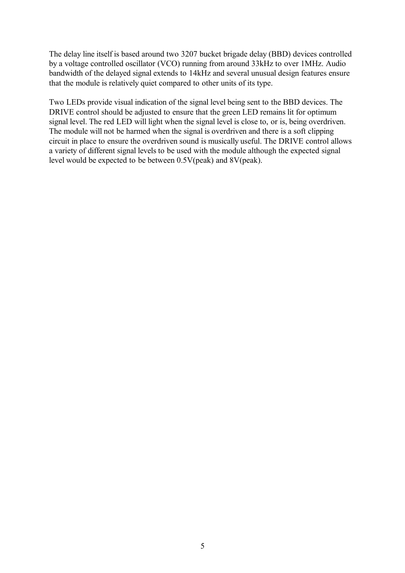The delay line itself is based around two 3207 bucket brigade delay (BBD) devices controlled by a voltage controlled oscillator (VCO) running from around 33kHz to over 1MHz. Audio bandwidth of the delayed signal extends to 14kHz and several unusual design features ensure that the module is relatively quiet compared to other units of its type.

Two LEDs provide visual indication of the signal level being sent to the BBD devices. The DRIVE control should be adjusted to ensure that the green LED remains lit for optimum signal level. The red LED will light when the signal level is close to, or is, being overdriven. The module will not be harmed when the signal is overdriven and there is a soft clipping circuit in place to ensure the overdriven sound is musically useful. The DRIVE control allows a variety of different signal levels to be used with the module although the expected signal level would be expected to be between 0.5V(peak) and 8V(peak).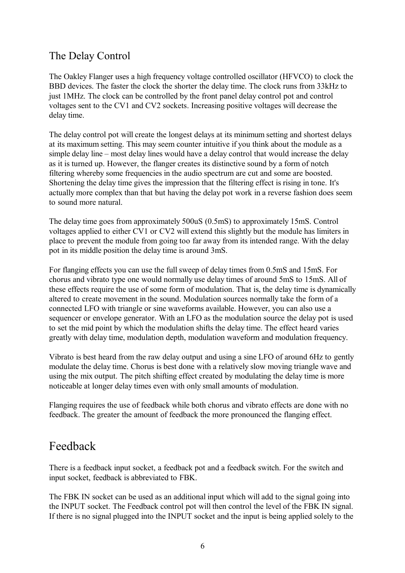### The Delay Control

The Oakley Flanger uses a high frequency voltage controlled oscillator (HFVCO) to clock the BBD devices. The faster the clock the shorter the delay time. The clock runs from 33kHz to just 1MHz. The clock can be controlled by the front panel delay control pot and control voltages sent to the CV1 and CV2 sockets. Increasing positive voltages will decrease the delay time.

The delay control pot will create the longest delays at its minimum setting and shortest delays at its maximum setting. This may seem counter intuitive if you think about the module as a simple delay line – most delay lines would have a delay control that would increase the delay as it is turned up. However, the flanger creates its distinctive sound by a form of notch filtering whereby some frequencies in the audio spectrum are cut and some are boosted. Shortening the delay time gives the impression that the filtering effect is rising in tone. It's actually more complex than that but having the delay pot work in a reverse fashion does seem to sound more natural.

The delay time goes from approximately 500uS (0.5mS) to approximately 15mS. Control voltages applied to either CV1 or CV2 will extend this slightly but the module has limiters in place to prevent the module from going too far away from its intended range. With the delay pot in its middle position the delay time is around 3mS.

For flanging effects you can use the full sweep of delay times from 0.5mS and 15mS. For chorus and vibrato type one would normally use delay times of around 5mS to 15mS. All of these effects require the use of some form of modulation. That is, the delay time is dynamically altered to create movement in the sound. Modulation sources normally take the form of a connected LFO with triangle or sine waveforms available. However, you can also use a sequencer or envelope generator. With an LFO as the modulation source the delay pot is used to set the mid point by which the modulation shifts the delay time. The effect heard varies greatly with delay time, modulation depth, modulation waveform and modulation frequency.

Vibrato is best heard from the raw delay output and using a sine LFO of around 6Hz to gently modulate the delay time. Chorus is best done with a relatively slow moving triangle wave and using the mix output. The pitch shifting effect created by modulating the delay time is more noticeable at longer delay times even with only small amounts of modulation.

Flanging requires the use of feedback while both chorus and vibrato effects are done with no feedback. The greater the amount of feedback the more pronounced the flanging effect.

## Feedback

There is a feedback input socket, a feedback pot and a feedback switch. For the switch and input socket, feedback is abbreviated to FBK.

The FBK IN socket can be used as an additional input which will add to the signal going into the INPUT socket. The Feedback control pot will then control the level of the FBK IN signal. If there is no signal plugged into the INPUT socket and the input is being applied solely to the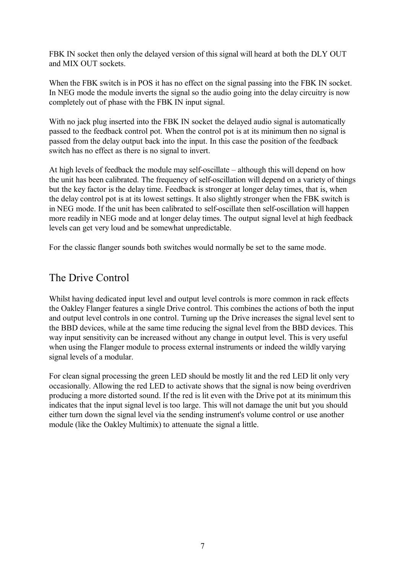FBK IN socket then only the delayed version of this signal will heard at both the DLY OUT and MIX OUT sockets.

When the FBK switch is in POS it has no effect on the signal passing into the FBK IN socket. In NEG mode the module inverts the signal so the audio going into the delay circuitry is now completely out of phase with the FBK IN input signal.

With no jack plug inserted into the FBK IN socket the delayed audio signal is automatically passed to the feedback control pot. When the control pot is at its minimum then no signal is passed from the delay output back into the input. In this case the position of the feedback switch has no effect as there is no signal to invert.

At high levels of feedback the module may self-oscillate – although this will depend on how the unit has been calibrated. The frequency of self-oscillation will depend on a variety of things but the key factor is the delay time. Feedback is stronger at longer delay times, that is, when the delay control pot is at its lowest settings. It also slightly stronger when the FBK switch is in NEG mode. If the unit has been calibrated to self-oscillate then self-oscillation will happen more readily in NEG mode and at longer delay times. The output signal level at high feedback levels can get very loud and be somewhat unpredictable.

For the classic flanger sounds both switches would normally be set to the same mode.

### The Drive Control

Whilst having dedicated input level and output level controls is more common in rack effects the Oakley Flanger features a single Drive control. This combines the actions of both the input and output level controls in one control. Turning up the Drive increases the signal level sent to the BBD devices, while at the same time reducing the signal level from the BBD devices. This way input sensitivity can be increased without any change in output level. This is very useful when using the Flanger module to process external instruments or indeed the wildly varying signal levels of a modular.

For clean signal processing the green LED should be mostly lit and the red LED lit only very occasionally. Allowing the red LED to activate shows that the signal is now being overdriven producing a more distorted sound. If the red is lit even with the Drive pot at its minimum this indicates that the input signal level is too large. This will not damage the unit but you should either turn down the signal level via the sending instrument's volume control or use another module (like the Oakley Multimix) to attenuate the signal a little.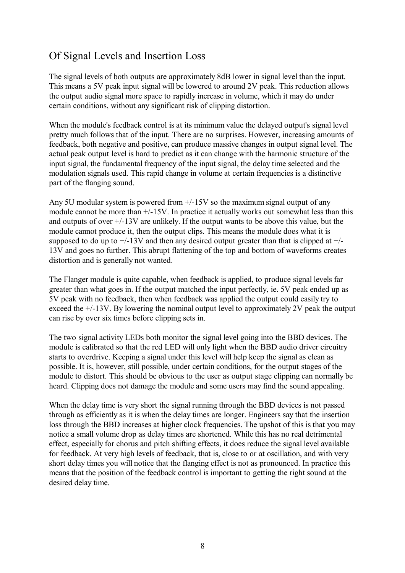## Of Signal Levels and Insertion Loss

The signal levels of both outputs are approximately 8dB lower in signal level than the input. This means a 5V peak input signal will be lowered to around 2V peak. This reduction allows the output audio signal more space to rapidly increase in volume, which it may do under certain conditions, without any significant risk of clipping distortion.

When the module's feedback control is at its minimum value the delayed output's signal level pretty much follows that of the input. There are no surprises. However, increasing amounts of feedback, both negative and positive, can produce massive changes in output signal level. The actual peak output level is hard to predict as it can change with the harmonic structure of the input signal, the fundamental frequency of the input signal, the delay time selected and the modulation signals used. This rapid change in volume at certain frequencies is a distinctive part of the flanging sound.

Any 5U modular system is powered from +/-15V so the maximum signal output of any module cannot be more than +/-15V. In practice it actually works out somewhat less than this and outputs of over +/-13V are unlikely. If the output wants to be above this value, but the module cannot produce it, then the output clips. This means the module does what it is supposed to do up to  $+/-13V$  and then any desired output greater than that is clipped at  $+/-$ 13V and goes no further. This abrupt flattening of the top and bottom of waveforms creates distortion and is generally not wanted.

The Flanger module is quite capable, when feedback is applied, to produce signal levels far greater than what goes in. If the output matched the input perfectly, ie. 5V peak ended up as 5V peak with no feedback, then when feedback was applied the output could easily try to exceed the +/-13V. By lowering the nominal output level to approximately 2V peak the output can rise by over six times before clipping sets in.

The two signal activity LEDs both monitor the signal level going into the BBD devices. The module is calibrated so that the red LED will only light when the BBD audio driver circuitry starts to overdrive. Keeping a signal under this level will help keep the signal as clean as possible. It is, however, still possible, under certain conditions, for the output stages of the module to distort. This should be obvious to the user as output stage clipping can normally be heard. Clipping does not damage the module and some users may find the sound appealing.

When the delay time is very short the signal running through the BBD devices is not passed through as efficiently as it is when the delay times are longer. Engineers say that the insertion loss through the BBD increases at higher clock frequencies. The upshot of this is that you may notice a small volume drop as delay times are shortened. While this has no real detrimental effect, especially for chorus and pitch shifting effects, it does reduce the signal level available for feedback. At very high levels of feedback, that is, close to or at oscillation, and with very short delay times you will notice that the flanging effect is not as pronounced. In practice this means that the position of the feedback control is important to getting the right sound at the desired delay time.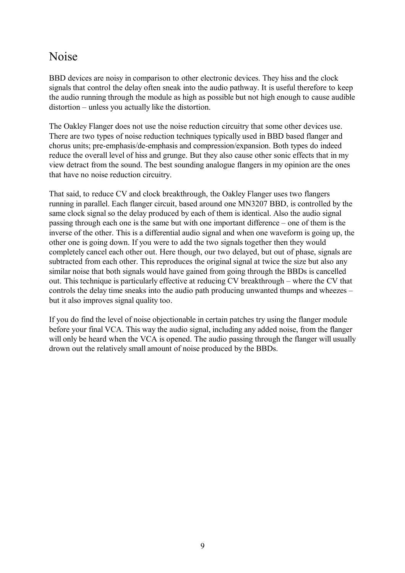## Noise

BBD devices are noisy in comparison to other electronic devices. They hiss and the clock signals that control the delay often sneak into the audio pathway. It is useful therefore to keep the audio running through the module as high as possible but not high enough to cause audible distortion – unless you actually like the distortion.

The Oakley Flanger does not use the noise reduction circuitry that some other devices use. There are two types of noise reduction techniques typically used in BBD based flanger and chorus units; pre-emphasis/de-emphasis and compression/expansion. Both types do indeed reduce the overall level of hiss and grunge. But they also cause other sonic effects that in my view detract from the sound. The best sounding analogue flangers in my opinion are the ones that have no noise reduction circuitry.

That said, to reduce CV and clock breakthrough, the Oakley Flanger uses two flangers running in parallel. Each flanger circuit, based around one MN3207 BBD, is controlled by the same clock signal so the delay produced by each of them is identical. Also the audio signal passing through each one is the same but with one important difference – one of them is the inverse of the other. This is a differential audio signal and when one waveform is going up, the other one is going down. If you were to add the two signals together then they would completely cancel each other out. Here though, our two delayed, but out of phase, signals are subtracted from each other. This reproduces the original signal at twice the size but also any similar noise that both signals would have gained from going through the BBDs is cancelled out. This technique is particularly effective at reducing CV breakthrough – where the CV that controls the delay time sneaks into the audio path producing unwanted thumps and wheezes – but it also improves signal quality too.

If you do find the level of noise objectionable in certain patches try using the flanger module before your final VCA. This way the audio signal, including any added noise, from the flanger will only be heard when the VCA is opened. The audio passing through the flanger will usually drown out the relatively small amount of noise produced by the BBDs.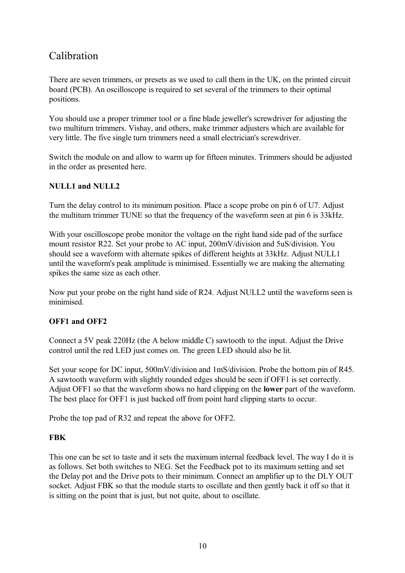#### Calibration

There are seven trimmers, or presets as we used to call them in the UK, on the printed circuit board (PCB). An oscilloscope is required to set several of the trimmers to their optimal positions.

You should use a proper trimmer tool or a fine blade jeweller's screwdriver for adjusting the two multiturn trimmers. Vishay, and others, make trimmer adjusters which are available for very little. The five single turn trimmers need a small electrician's screwdriver.

Switch the module on and allow to warm up for fifteen minutes. Trimmers should be adjusted in the order as presented here.

#### **NULL1 and NULL2**

Turn the delay control to its minimum position. Place a scope probe on pin 6 of U7. Adjust the multiturn trimmer TUNE so that the frequency of the waveform seen at pin 6 is 33kHz.

With your oscilloscope probe monitor the voltage on the right hand side pad of the surface mount resistor R22. Set your probe to AC input, 200mV/division and 5uS/division. You should see a waveform with alternate spikes of different heights at 33kHz. Adjust NULL1 until the waveform's peak amplitude is minimised. Essentially we are making the alternating spikes the same size as each other.

Now put your probe on the right hand side of R24. Adjust NULL2 until the waveform seen is minimised.

#### **OFF1 and OFF2**

Connect a 5V peak 220Hz (the A below middle C) sawtooth to the input. Adjust the Drive control until the red LED just comes on. The green LED should also be lit.

Set your scope for DC input, 500mV/division and 1mS/division. Probe the bottom pin of R45. A sawtooth waveform with slightly rounded edges should be seen if OFF1 is set correctly. Adjust OFF1 so that the waveform shows no hard clipping on the **lower** part of the waveform. The best place for OFF1 is just backed off from point hard clipping starts to occur.

Probe the top pad of R32 and repeat the above for OFF2.

#### **FBK**

This one can be set to taste and it sets the maximum internal feedback level. The way I do it is as follows. Set both switches to NEG. Set the Feedback pot to its maximum setting and set the Delay pot and the Drive pots to their minimum. Connect an amplifier up to the DLY OUT socket. Adjust FBK so that the module starts to oscillate and then gently back it off so that it is sitting on the point that is just, but not quite, about to oscillate.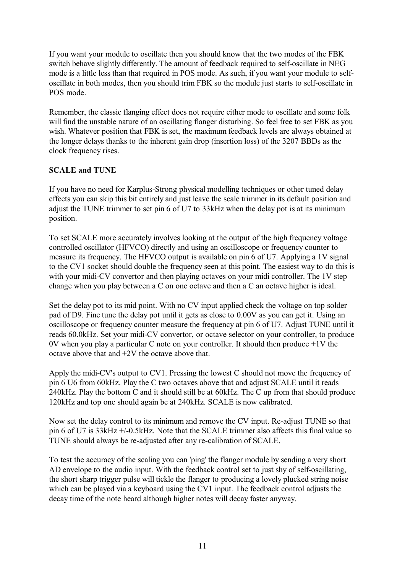If you want your module to oscillate then you should know that the two modes of the FBK switch behave slightly differently. The amount of feedback required to self-oscillate in NEG mode is a little less than that required in POS mode. As such, if you want your module to selfoscillate in both modes, then you should trim FBK so the module just starts to self-oscillate in POS mode.

Remember, the classic flanging effect does not require either mode to oscillate and some folk will find the unstable nature of an oscillating flanger disturbing. So feel free to set FBK as you wish. Whatever position that FBK is set, the maximum feedback levels are always obtained at the longer delays thanks to the inherent gain drop (insertion loss) of the 3207 BBDs as the clock frequency rises.

#### **SCALE and TUNE**

If you have no need for Karplus-Strong physical modelling techniques or other tuned delay effects you can skip this bit entirely and just leave the scale trimmer in its default position and adjust the TUNE trimmer to set pin 6 of U7 to 33kHz when the delay pot is at its minimum position.

To set SCALE more accurately involves looking at the output of the high frequency voltage controlled oscillator (HFVCO) directly and using an oscilloscope or frequency counter to measure its frequency. The HFVCO output is available on pin 6 of U7. Applying a 1V signal to the CV1 socket should double the frequency seen at this point. The easiest way to do this is with your midi-CV convertor and then playing octaves on your midi controller. The 1V step change when you play between a C on one octave and then a C an octave higher is ideal.

Set the delay pot to its mid point. With no CV input applied check the voltage on top solder pad of D9. Fine tune the delay pot until it gets as close to 0.00V as you can get it. Using an oscilloscope or frequency counter measure the frequency at pin 6 of U7. Adjust TUNE until it reads 60.0kHz. Set your midi-CV convertor, or octave selector on your controller, to produce 0V when you play a particular C note on your controller. It should then produce  $+1V$  the octave above that and +2V the octave above that.

Apply the midi-CV's output to CV1. Pressing the lowest C should not move the frequency of pin 6 U6 from 60kHz. Play the C two octaves above that and adjust SCALE until it reads 240kHz. Play the bottom C and it should still be at 60kHz. The C up from that should produce 120kHz and top one should again be at 240kHz. SCALE is now calibrated.

Now set the delay control to its minimum and remove the CV input. Re-adjust TUNE so that pin 6 of U7 is 33kHz +/-0.5kHz. Note that the SCALE trimmer also affects this final value so TUNE should always be re-adjusted after any re-calibration of SCALE.

To test the accuracy of the scaling you can 'ping' the flanger module by sending a very short AD envelope to the audio input. With the feedback control set to just shy of self-oscillating, the short sharp trigger pulse will tickle the flanger to producing a lovely plucked string noise which can be played via a keyboard using the CV1 input. The feedback control adjusts the decay time of the note heard although higher notes will decay faster anyway.